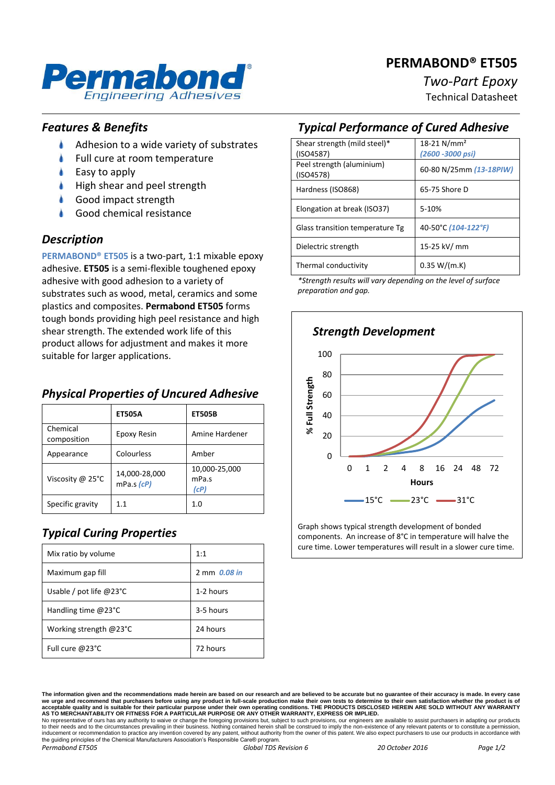# **PERMABOND® ET505**



# *Two-Part Epoxy*

Technical Datasheet

#### *Features & Benefits*

- ۸ Adhesion to a wide variety of substrates
- Full cure at room temperature
- Easy to apply
- High shear and peel strength
- Good impact strength
- Good chemical resistance

#### *Description*

**PERMABOND® ET505** is a two-part, 1:1 mixable epoxy adhesive. **ET505** is a semi-flexible toughened epoxy adhesive with good adhesion to a variety of substrates such as wood, metal, ceramics and some plastics and composites. **Permabond ET505** forms tough bonds providing high peel resistance and high shear strength. The extended work life of this product allows for adjustment and makes it more suitable for larger applications.

#### *Physical Properties of Uncured Adhesive*

|                         | <b>ET505A</b>                     | <b>ET505B</b>                  |
|-------------------------|-----------------------------------|--------------------------------|
| Chemical<br>composition | Epoxy Resin                       | Amine Hardener                 |
| Appearance              | Colourless                        | Amber                          |
| Viscosity @ 25°C        | 14,000-28,000<br>$mPa.s$ ( $cP$ ) | 10,000-25,000<br>mPa.s<br>(cP) |
| Specific gravity        | 11                                | 1.0                            |

# *Typical Curing Properties*

| Mix ratio by volume              | 1:1          |
|----------------------------------|--------------|
| Maximum gap fill                 | 2 mm 0.08 in |
| Usable / pot life $@23^{\circ}C$ | 1-2 hours    |
| Handling time $@23°C$            | 3-5 hours    |
| Working strength $@23^{\circ}C$  | 24 hours     |
| Full cure @23°C                  | 72 hours     |

# *Typical Performance of Cured Adhesive*

| Shear strength (mild steel)*           | 18-21 N/mm <sup>2</sup> |
|----------------------------------------|-------------------------|
| (ISO4587)                              | (2600 - 3000 psi)       |
| Peel strength (aluminium)<br>(ISO4578) | 60-80 N/25mm (13-18PIW) |
| Hardness (ISO868)                      | 65-75 Shore D           |
| Elongation at break (ISO37)            | 5-10%                   |
| Glass transition temperature Tg        | 40-50°C (104-122°F)     |
| Dielectric strength                    | 15-25 kV/ mm            |
| Thermal conductivity                   | 0.35 W/(m.K)            |

*\*Strength results will vary depending on the level of surface preparation and gap.*



Graph shows typical strength development of bonded components. An increase of 8°C in temperature will halve the cure time. Lower temperatures will result in a slower cure time.

to their needs and to the circumstances prevailing in their business. Nothing contained herein shall be construed to imply the non-existence of any relevant patents or to constitute a permission inducement or recommendation to practice any invention covered by any patent, without authority from the owner of this patent. We also expect purchasers to use our products in accordance with the guiding principles of the Chemical Manufacturers Association's Responsible Care® program. *Permabond ET505 Global TDS Revision 6 20 October 2016 Page 1/2*

**The information given and the recommendations made herein are based on our research and are believed to be accurate but no guarantee of their accuracy is made. In every case**  we urge and recommend that purchasers before using any product in full-scale production make their own tests to determine to their own satisfaction whether the product is of<br>acceptable quality and is suitable for their par No representative of ours has any authority to waive or change the foregoing provisions but, subject to such provisions, our engineers are available to assist purchasers in adapting our products